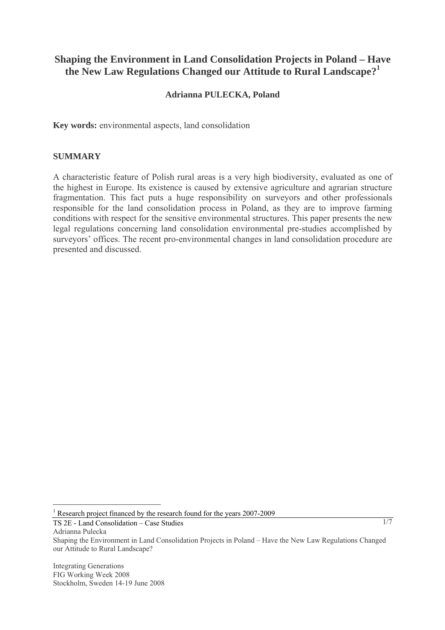# **Shaping the Environment in Land Consolidation Projects in Poland – Have the New Law Regulations Changed our Attitude to Rural Landscape?<sup>1</sup>**

### **Adrianna PULECKA, Poland**

**Key words:** environmental aspects, land consolidation

#### **SUMMARY**

A characteristic feature of Polish rural areas is a very high biodiversity, evaluated as one of the highest in Europe. Its existence is caused by extensive agriculture and agrarian structure fragmentation. This fact puts a huge responsibility on surveyors and other professionals responsible for the land consolidation process in Poland, as they are to improve farming conditions with respect for the sensitive environmental structures. This paper presents the new legal regulations concerning land consolidation environmental pre-studies accomplished by surveyors' offices. The recent pro-environmental changes in land consolidation procedure are presented and discussed.

TS 2E - Land Consolidation – Case Studies

Adrianna Pulecka

 $\overline{a}$ 

Integrating Generations FIG Working Week 2008 Stockholm, Sweden 14-19 June 2008

<sup>&</sup>lt;sup>1</sup> Research project financed by the research found for the years 2007-2009

Shaping the Environment in Land Consolidation Projects in Poland – Have the New Law Regulations Changed our Attitude to Rural Landscape?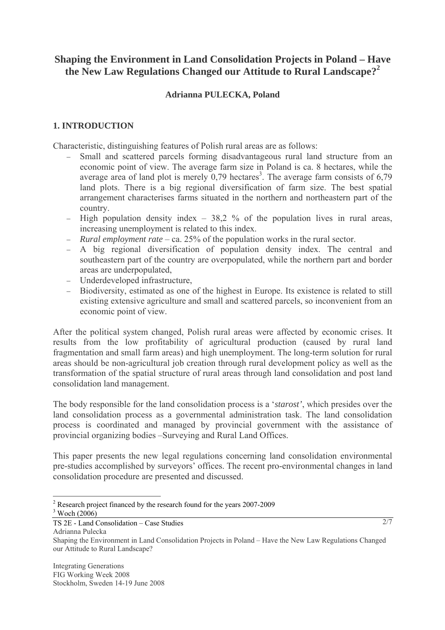# **Shaping the Environment in Land Consolidation Projects in Poland – Have the New Law Regulations Changed our Attitude to Rural Landscape?<sup>2</sup>**

### **Adrianna PULECKA, Poland**

### **1. INTRODUCTION**

Characteristic, distinguishing features of Polish rural areas are as follows:

- Small and scattered parcels forming disadvantageous rural land structure from an economic point of view. The average farm size in Poland is ca. 8 hectares, while the average area of land plot is merely  $0,79$  hectares<sup>3</sup>. The average farm consists of 6,79 land plots. There is a big regional diversification of farm size. The best spatial arrangement characterises farms situated in the northern and northeastern part of the country.
- − High population density index 38,2 % of the population lives in rural areas, increasing unemployment is related to this index.
- − *Rural employment rate* ca. 25% of the population works in the rural sector.
- − A big regional diversification of population density index. The central and southeastern part of the country are overpopulated, while the northern part and border areas are underpopulated,
- − Underdeveloped infrastructure,
- − Biodiversity, estimated as one of the highest in Europe. Its existence is related to still existing extensive agriculture and small and scattered parcels, so inconvenient from an economic point of view.

After the political system changed, Polish rural areas were affected by economic crises. It results from the low profitability of agricultural production (caused by rural land fragmentation and small farm areas) and high unemployment. The long-term solution for rural areas should be non-agricultural job creation through rural development policy as well as the transformation of the spatial structure of rural areas through land consolidation and post land consolidation land management.

The body responsible for the land consolidation process is a '*starost'*, which presides over the land consolidation process as a governmental administration task. The land consolidation process is coordinated and managed by provincial government with the assistance of provincial organizing bodies –Surveying and Rural Land Offices.

This paper presents the new legal regulations concerning land consolidation environmental pre-studies accomplished by surveyors' offices. The recent pro-environmental changes in land consolidation procedure are presented and discussed.

2/7

 $\overline{a}$ <sup>2</sup> Research project financed by the research found for the years 2007-2009  $\frac{3 \text{ Woch}}{2006}$  $3$  Woch (2006)

TS 2E - Land Consolidation – Case Studies

Adrianna Pulecka

Shaping the Environment in Land Consolidation Projects in Poland – Have the New Law Regulations Changed our Attitude to Rural Landscape?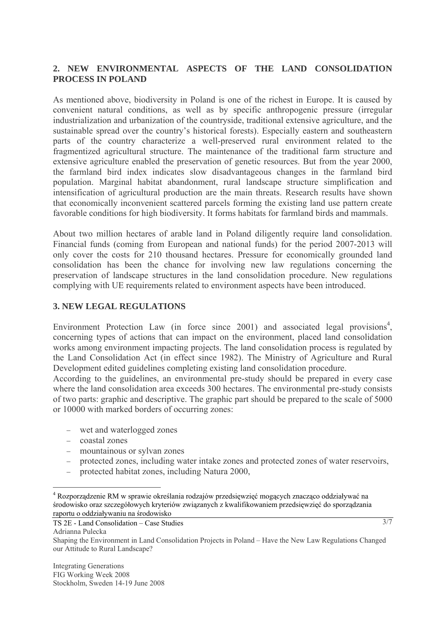### **2. NEW ENVIRONMENTAL ASPECTS OF THE LAND CONSOLIDATION PROCESS IN POLAND**

As mentioned above, biodiversity in Poland is one of the richest in Europe. It is caused by convenient natural conditions, as well as by specific anthropogenic pressure (irregular industrialization and urbanization of the countryside, traditional extensive agriculture, and the sustainable spread over the country's historical forests). Especially eastern and southeastern parts of the country characterize a well-preserved rural environment related to the fragmentized agricultural structure. The maintenance of the traditional farm structure and extensive agriculture enabled the preservation of genetic resources. But from the year 2000, the farmland bird index indicates slow disadvantageous changes in the farmland bird population. Marginal habitat abandonment, rural landscape structure simplification and intensification of agricultural production are the main threats. Research results have shown that economically inconvenient scattered parcels forming the existing land use pattern create favorable conditions for high biodiversity. It forms habitats for farmland birds and mammals.

About two million hectares of arable land in Poland diligently require land consolidation. Financial funds (coming from European and national funds) for the period 2007-2013 will only cover the costs for 210 thousand hectares. Pressure for economically grounded land consolidation has been the chance for involving new law regulations concerning the preservation of landscape structures in the land consolidation procedure. New regulations complying with UE requirements related to environment aspects have been introduced.

## **3. NEW LEGAL REGULATIONS**

Environment Protection Law (in force since 2001) and associated legal provisions<sup>4</sup>, concerning types of actions that can impact on the environment, placed land consolidation works among environment impacting projects. The land consolidation process is regulated by the Land Consolidation Act (in effect since 1982). The Ministry of Agriculture and Rural Development edited guidelines completing existing land consolidation procedure.

According to the guidelines, an environmental pre-study should be prepared in every case where the land consolidation area exceeds 300 hectares. The environmental pre-study consists of two parts: graphic and descriptive. The graphic part should be prepared to the scale of 5000 or 10000 with marked borders of occurring zones:

- − wet and waterlogged zones
- − coastal zones
- − mountainous or sylvan zones
- − protected zones, including water intake zones and protected zones of water reservoirs,
- − protected habitat zones, including Natura 2000,

TS 2E - Land Consolidation – Case Studies

Adrianna Pulecka

Shaping the Environment in Land Consolidation Projects in Poland – Have the New Law Regulations Changed our Attitude to Rural Landscape?

 $\overline{a}$ <sup>4</sup> Rozporządzenie RM w sprawie określania rodzajów przedsięwzięć mogących znacząco oddziaływać na środowisko oraz szczegółowych kryteriów związanych z kwalifikowaniem przedsięwzięć do sporządzania raportu o oddziaływaniu na środowisko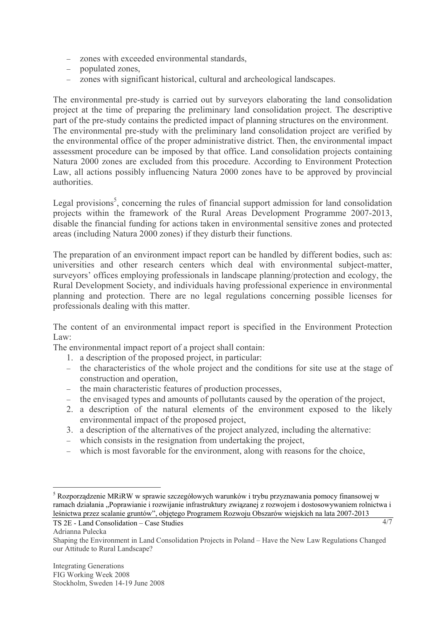- − zones with exceeded environmental standards,
- − populated zones,
- − zones with significant historical, cultural and archeological landscapes.

The environmental pre-study is carried out by surveyors elaborating the land consolidation project at the time of preparing the preliminary land consolidation project. The descriptive part of the pre-study contains the predicted impact of planning structures on the environment. The environmental pre-study with the preliminary land consolidation project are verified by the environmental office of the proper administrative district. Then, the environmental impact assessment procedure can be imposed by that office. Land consolidation projects containing Natura 2000 zones are excluded from this procedure. According to Environment Protection Law, all actions possibly influencing Natura 2000 zones have to be approved by provincial authorities.

Legal provisions<sup>5</sup>, concerning the rules of financial support admission for land consolidation projects within the framework of the Rural Areas Development Programme 2007-2013, disable the financial funding for actions taken in environmental sensitive zones and protected areas (including Natura 2000 zones) if they disturb their functions.

The preparation of an environment impact report can be handled by different bodies, such as: universities and other research centers which deal with environmental subject-matter, surveyors' offices employing professionals in landscape planning/protection and ecology, the Rural Development Society, and individuals having professional experience in environmental planning and protection. There are no legal regulations concerning possible licenses for professionals dealing with this matter.

The content of an environmental impact report is specified in the Environment Protection Law:

The environmental impact report of a project shall contain:

- 1. a description of the proposed project, in particular:
- the characteristics of the whole project and the conditions for site use at the stage of construction and operation,
- − the main characteristic features of production processes,
- − the envisaged types and amounts of pollutants caused by the operation of the project,
- 2. a description of the natural elements of the environment exposed to the likely environmental impact of the proposed project,
- 3. a description of the alternatives of the project analyzed, including the alternative:
- − which consists in the resignation from undertaking the project,
- − which is most favorable for the environment, along with reasons for the choice,

 $\overline{a}$ 

<sup>&</sup>lt;sup>5</sup> Rozporządzenie MRiRW w sprawie szczegółowych warunków i trybu przyznawania pomocy finansowej w ramach działania "Poprawianie i rozwijanie infrastruktury związanej z rozwojem i dostosowywaniem rolnictwa i leśnictwa przez scalanie gruntów", objętego Programem Rozwoju Obszarów wiejskich na lata 2007-2013

TS 2E - Land Consolidation – Case Studies

Adrianna Pulecka

Shaping the Environment in Land Consolidation Projects in Poland – Have the New Law Regulations Changed our Attitude to Rural Landscape?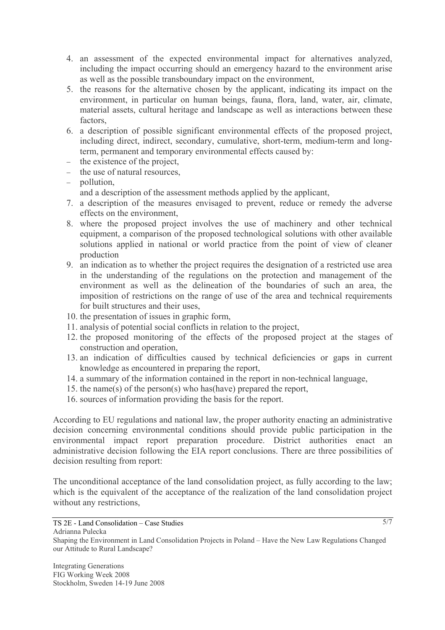- 4. an assessment of the expected environmental impact for alternatives analyzed, including the impact occurring should an emergency hazard to the environment arise as well as the possible transboundary impact on the environment,
- 5. the reasons for the alternative chosen by the applicant, indicating its impact on the environment, in particular on human beings, fauna, flora, land, water, air, climate, material assets, cultural heritage and landscape as well as interactions between these factors,
- 6. a description of possible significant environmental effects of the proposed project, including direct, indirect, secondary, cumulative, short-term, medium-term and longterm, permanent and temporary environmental effects caused by:
- − the existence of the project,
- − the use of natural resources,
- − pollution,

and a description of the assessment methods applied by the applicant,

- 7. a description of the measures envisaged to prevent, reduce or remedy the adverse effects on the environment,
- 8. where the proposed project involves the use of machinery and other technical equipment, a comparison of the proposed technological solutions with other available solutions applied in national or world practice from the point of view of cleaner production
- 9. an indication as to whether the project requires the designation of a restricted use area in the understanding of the regulations on the protection and management of the environment as well as the delineation of the boundaries of such an area, the imposition of restrictions on the range of use of the area and technical requirements for built structures and their uses,
- 10. the presentation of issues in graphic form,
- 11. analysis of potential social conflicts in relation to the project,
- 12. the proposed monitoring of the effects of the proposed project at the stages of construction and operation,
- 13. an indication of difficulties caused by technical deficiencies or gaps in current knowledge as encountered in preparing the report,
- 14. a summary of the information contained in the report in non-technical language,
- 15. the name(s) of the person(s) who has(have) prepared the report,
- 16. sources of information providing the basis for the report.

According to EU regulations and national law, the proper authority enacting an administrative decision concerning environmental conditions should provide public participation in the environmental impact report preparation procedure. District authorities enact an administrative decision following the EIA report conclusions. There are three possibilities of decision resulting from report:

The unconditional acceptance of the land consolidation project, as fully according to the law; which is the equivalent of the acceptance of the realization of the land consolidation project without any restrictions,

Shaping the Environment in Land Consolidation Projects in Poland – Have the New Law Regulations Changed our Attitude to Rural Landscape?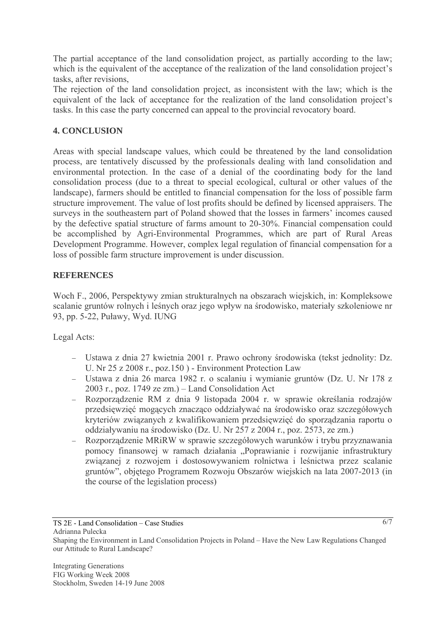The partial acceptance of the land consolidation project, as partially according to the law; which is the equivalent of the acceptance of the realization of the land consolidation project's tasks, after revisions,

The rejection of the land consolidation project, as inconsistent with the law; which is the equivalent of the lack of acceptance for the realization of the land consolidation project's tasks. In this case the party concerned can appeal to the provincial revocatory board.

# **4. CONCLUSION**

Areas with special landscape values, which could be threatened by the land consolidation process, are tentatively discussed by the professionals dealing with land consolidation and environmental protection. In the case of a denial of the coordinating body for the land consolidation process (due to a threat to special ecological, cultural or other values of the landscape), farmers should be entitled to financial compensation for the loss of possible farm structure improvement. The value of lost profits should be defined by licensed appraisers. The surveys in the southeastern part of Poland showed that the losses in farmers' incomes caused by the defective spatial structure of farms amount to 20-30%. Financial compensation could be accomplished by Agri-Environmental Programmes, which are part of Rural Areas Development Programme. However, complex legal regulation of financial compensation for a loss of possible farm structure improvement is under discussion.

# **REFERENCES**

Woch F., 2006, Perspektywy zmian strukturalnych na obszarach wiejskich, in: Kompleksowe scalanie gruntów rolnych i leśnych oraz jego wpływ na środowisko, materiały szkoleniowe nr 93, pp. 5-22, Puławy, Wyd. IUNG

Legal Acts:

- − Ustawa z dnia 27 kwietnia 2001 r. Prawo ochrony środowiska (tekst jednolity: Dz. U. Nr 25 z 2008 r., poz.150 ) - Environment Protection Law
- − Ustawa z dnia 26 marca 1982 r. o scalaniu i wymianie gruntów (Dz. U. Nr 178 z 2003 r., poz. 1749 ze zm.) – Land Consolidation Act
- − Rozporządzenie RM z dnia 9 listopada 2004 r. w sprawie określania rodzajów przedsięwzięć mogących znacząco oddziaływać na środowisko oraz szczegółowych kryteriów związanych z kwalifikowaniem przedsięwzięć do sporządzania raportu o oddziaływaniu na środowisko (Dz. U. Nr 257 z 2004 r., poz. 2573, ze zm.)
- − Rozporządzenie MRiRW w sprawie szczegółowych warunków i trybu przyznawania pomocy finansowej w ramach działania "Poprawianie i rozwijanie infrastruktury związanej z rozwojem i dostosowywaniem rolnictwa i leśnictwa przez scalanie gruntów", objętego Programem Rozwoju Obszarów wiejskich na lata 2007-2013 (in the course of the legislation process)

TS 2E - Land Consolidation – Case Studies

Adrianna Pulecka

Shaping the Environment in Land Consolidation Projects in Poland – Have the New Law Regulations Changed our Attitude to Rural Landscape?